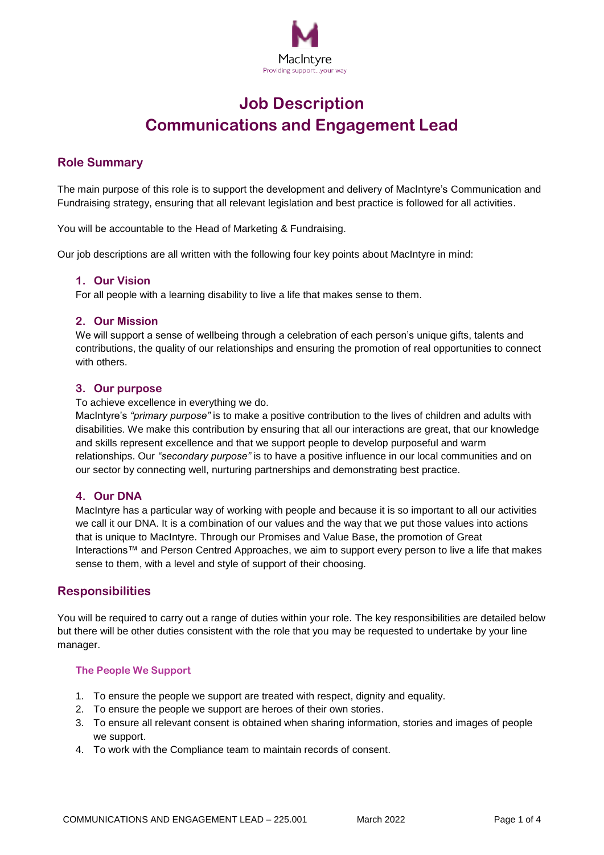

# **Job Description Communications and Engagement Lead**

# **Role Summary**

The main purpose of this role is to support the development and delivery of MacIntyre's Communication and Fundraising strategy, ensuring that all relevant legislation and best practice is followed for all activities.

You will be accountable to the Head of Marketing & Fundraising.

Our job descriptions are all written with the following four key points about MacIntyre in mind:

## **1. Our Vision**

For all people with a learning disability to live a life that makes sense to them.

## **2. Our Mission**

We will support a sense of wellbeing through a celebration of each person's unique gifts, talents and contributions, the quality of our relationships and ensuring the promotion of real opportunities to connect with others.

#### **3. Our purpose**

To achieve excellence in everything we do.

MacIntyre's *"primary purpose"* is to make a positive contribution to the lives of children and adults with disabilities. We make this contribution by ensuring that all our interactions are great, that our knowledge and skills represent excellence and that we support people to develop purposeful and warm relationships. Our *"secondary purpose"* is to have a positive influence in our local communities and on our sector by connecting well, nurturing partnerships and demonstrating best practice.

# **4. Our DNA**

MacIntyre has a particular way of working with people and because it is so important to all our activities we call it our DNA. It is a combination of our values and the way that we put those values into actions that is unique to MacIntyre. Through our [Promises and Value Base,](http://#) the promotion of [Great](http://#)  [Interactions™](http://#) and [Person Centred Approaches,](http://#) we aim to support every person to live a life that makes sense to them, with a level and style of support of their choosing.

# **Responsibilities**

You will be required to carry out a range of duties within your role. The key responsibilities are detailed below but there will be other duties consistent with the role that you may be requested to undertake by your line manager.

#### **The People We Support**

- 1. To ensure the people we support are treated with respect, dignity and equality.
- 2. To ensure the people we support are heroes of their own stories.
- 3. To ensure all relevant consent is obtained when sharing information, stories and images of people we support.
- 4. To work with the Compliance team to maintain records of consent.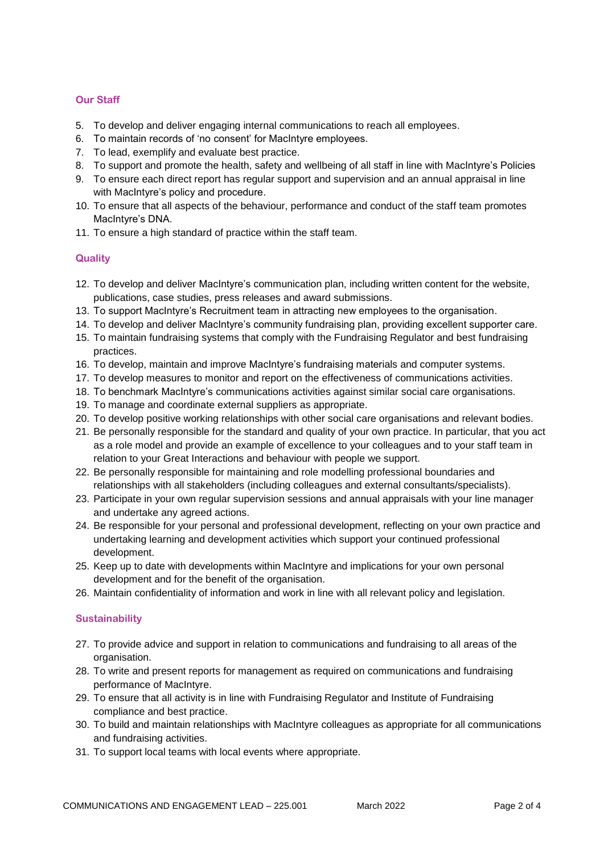# **Our Staff**

- 5. To develop and deliver engaging internal communications to reach all employees.
- 6. To maintain records of 'no consent' for MacIntyre employees.
- 7. To lead, exemplify and evaluate best practice.
- 8. To support and promote the health, safety and wellbeing of all staff in line with MacIntyre's Policies
- 9. To ensure each direct report has regular support and supervision and an annual appraisal in line with MacIntyre's policy and procedure.
- 10. To ensure that all aspects of the behaviour, performance and conduct of the staff team promotes MacIntyre's DNA.
- 11. To ensure a high standard of practice within the staff team.

#### **Quality**

- 12. To develop and deliver MacIntyre's communication plan, including written content for the website, publications, case studies, press releases and award submissions.
- 13. To support MacIntyre's Recruitment team in attracting new employees to the organisation.
- 14. To develop and deliver MacIntyre's community fundraising plan, providing excellent supporter care.
- 15. To maintain fundraising systems that comply with the Fundraising Regulator and best fundraising practices.
- 16. To develop, maintain and improve MacIntyre's fundraising materials and computer systems.
- 17. To develop measures to monitor and report on the effectiveness of communications activities.
- 18. To benchmark MacIntyre's communications activities against similar social care organisations.
- 19. To manage and coordinate external suppliers as appropriate.
- 20. To develop positive working relationships with other social care organisations and relevant bodies.
- 21. Be personally responsible for the standard and quality of your own practice. In particular, that you act as a role model and provide an example of excellence to your colleagues and to your staff team in relation to your Great Interactions and behaviour with people we support.
- 22. Be personally responsible for maintaining and role modelling professional boundaries and relationships with all stakeholders (including colleagues and external consultants/specialists).
- 23. Participate in your own regular supervision sessions and annual appraisals with your line manager and undertake any agreed actions.
- 24. Be responsible for your personal and professional development, reflecting on your own practice and undertaking learning and development activities which support your continued professional development.
- 25. Keep up to date with developments within MacIntyre and implications for your own personal development and for the benefit of the organisation.
- 26. Maintain confidentiality of information and work in line with all relevant policy and legislation.

#### **Sustainability**

- 27. To provide advice and support in relation to communications and fundraising to all areas of the organisation.
- 28. To write and present reports for management as required on communications and fundraising performance of MacIntyre.
- 29. To ensure that all activity is in line with Fundraising Regulator and Institute of Fundraising compliance and best practice.
- 30. To build and maintain relationships with MacIntyre colleagues as appropriate for all communications and fundraising activities.
- 31. To support local teams with local events where appropriate.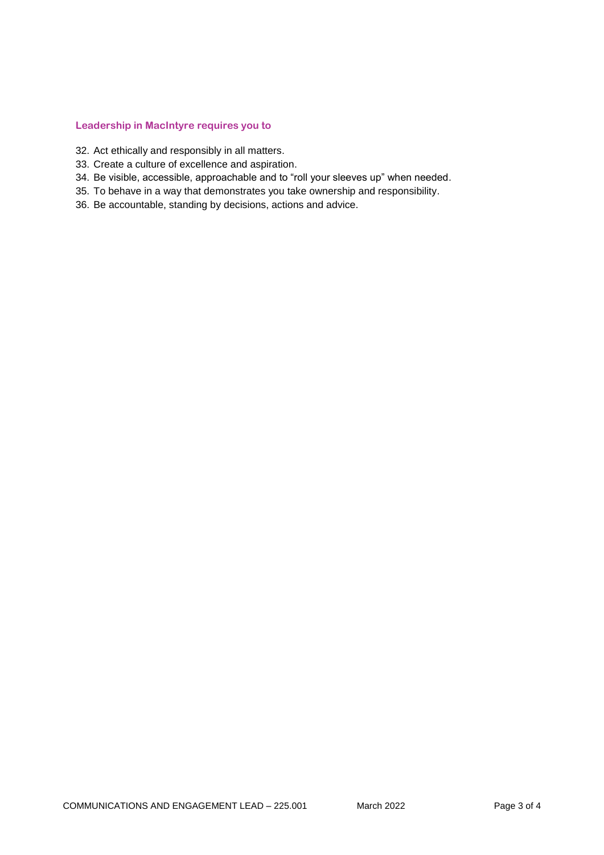#### **Leadership in MacIntyre requires you to**

- 32. Act ethically and responsibly in all matters.
- 33. Create a culture of excellence and aspiration.
- 34. Be visible, accessible, approachable and to "roll your sleeves up" when needed.
- 35. To behave in a way that demonstrates you take ownership and responsibility.
- 36. Be accountable, standing by decisions, actions and advice.